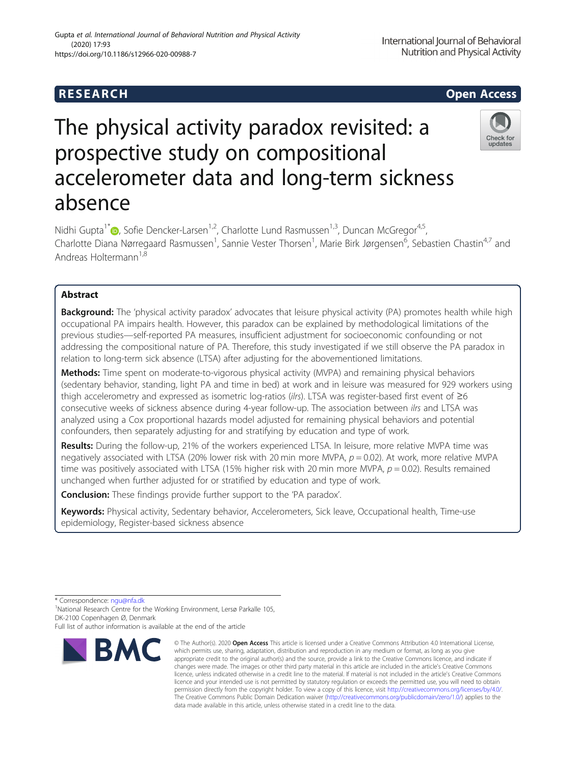# **RESEARCH CHEAR CHEAR CHEAR CHEAR CHEAR CHEAR CHEAR CHEAR CHEAR CHEAR CHEAR CHEAR CHEAR CHEAR CHEAR CHEAR CHEAR**

# The physical activity paradox revisited: a prospective study on compositional accelerometer data and long-term sickness absence

Nidhi Gupta<sup>1[\\*](http://orcid.org/0000-0002-0035-9342)</sup>  $\bullet$ , Sofie Dencker-Larsen<sup>1,2</sup>, Charlotte Lund Rasmussen<sup>1,3</sup>, Duncan McGregor<sup>4,5</sup>, Charlotte Diana Nørregaard Rasmussen<sup>1</sup>, Sannie Vester Thorsen<sup>1</sup>, Marie Birk Jørgensen<sup>6</sup>, Sebastien Chastin<sup>4,7</sup> and Andreas Holtermann<sup>1,8</sup>

# Abstract

Background: The 'physical activity paradox' advocates that leisure physical activity (PA) promotes health while high occupational PA impairs health. However, this paradox can be explained by methodological limitations of the previous studies—self-reported PA measures, insufficient adjustment for socioeconomic confounding or not addressing the compositional nature of PA. Therefore, this study investigated if we still observe the PA paradox in relation to long-term sick absence (LTSA) after adjusting for the abovementioned limitations.

Methods: Time spent on moderate-to-vigorous physical activity (MVPA) and remaining physical behaviors (sedentary behavior, standing, light PA and time in bed) at work and in leisure was measured for 929 workers using thigh accelerometry and expressed as isometric log-ratios (ilrs). LTSA was register-based first event of ≥6 consecutive weeks of sickness absence during 4-year follow-up. The association between ilrs and LTSA was analyzed using a Cox proportional hazards model adjusted for remaining physical behaviors and potential confounders, then separately adjusting for and stratifying by education and type of work.

Results: During the follow-up, 21% of the workers experienced LTSA. In leisure, more relative MVPA time was negatively associated with LTSA (20% lower risk with 20 min more MVPA,  $p = 0.02$ ). At work, more relative MVPA time was positively associated with LTSA (15% higher risk with 20 min more MVPA,  $p = 0.02$ ). Results remained unchanged when further adjusted for or stratified by education and type of work.

**Conclusion:** These findings provide further support to the 'PA paradox'.

Keywords: Physical activity, Sedentary behavior, Accelerometers, Sick leave, Occupational health, Time-use epidemiology, Register-based sickness absence

**BMC** 



International Journal of Behavioral Nutrition and Physical Activity



<sup>\*</sup> Correspondence: [ngu@nfa.dk](mailto:ngu@nfa.dk) <sup>1</sup>

<sup>&</sup>lt;sup>1</sup>National Research Centre for the Working Environment, Lersø Parkalle 105, DK-2100 Copenhagen Ø, Denmark

Full list of author information is available at the end of the article

<sup>©</sup> The Author(s), 2020 **Open Access** This article is licensed under a Creative Commons Attribution 4.0 International License, which permits use, sharing, adaptation, distribution and reproduction in any medium or format, as long as you give appropriate credit to the original author(s) and the source, provide a link to the Creative Commons licence, and indicate if changes were made. The images or other third party material in this article are included in the article's Creative Commons licence, unless indicated otherwise in a credit line to the material. If material is not included in the article's Creative Commons licence and your intended use is not permitted by statutory regulation or exceeds the permitted use, you will need to obtain permission directly from the copyright holder. To view a copy of this licence, visit [http://creativecommons.org/licenses/by/4.0/.](http://creativecommons.org/licenses/by/4.0/) The Creative Commons Public Domain Dedication waiver [\(http://creativecommons.org/publicdomain/zero/1.0/](http://creativecommons.org/publicdomain/zero/1.0/)) applies to the data made available in this article, unless otherwise stated in a credit line to the data.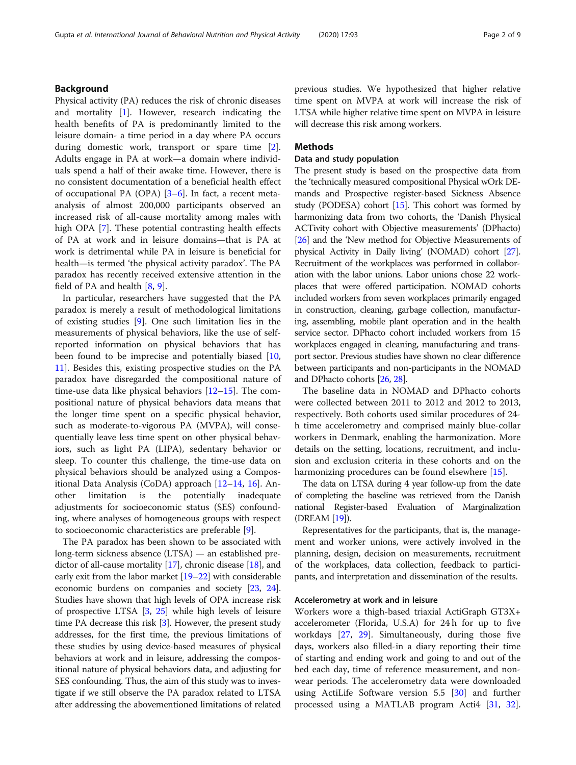# Background

Physical activity (PA) reduces the risk of chronic diseases and mortality  $[1]$  $[1]$ . However, research indicating the health benefits of PA is predominantly limited to the leisure domain- a time period in a day where PA occurs during domestic work, transport or spare time [\[2](#page-7-0)]. Adults engage in PA at work—a domain where individuals spend a half of their awake time. However, there is no consistent documentation of a beneficial health effect of occupational PA (OPA) [[3](#page-7-0)–[6\]](#page-7-0). In fact, a recent metaanalysis of almost 200,000 participants observed an increased risk of all-cause mortality among males with high OPA [\[7\]](#page-7-0). These potential contrasting health effects of PA at work and in leisure domains—that is PA at work is detrimental while PA in leisure is beneficial for health—is termed 'the physical activity paradox'. The PA paradox has recently received extensive attention in the field of PA and health [[8,](#page-7-0) [9\]](#page-7-0).

In particular, researchers have suggested that the PA paradox is merely a result of methodological limitations of existing studies [[9\]](#page-7-0). One such limitation lies in the measurements of physical behaviors, like the use of selfreported information on physical behaviors that has been found to be imprecise and potentially biased [[10](#page-7-0), [11\]](#page-7-0). Besides this, existing prospective studies on the PA paradox have disregarded the compositional nature of time-use data like physical behaviors [\[12](#page-7-0)–[15\]](#page-7-0). The compositional nature of physical behaviors data means that the longer time spent on a specific physical behavior, such as moderate-to-vigorous PA (MVPA), will consequentially leave less time spent on other physical behaviors, such as light PA (LIPA), sedentary behavior or sleep. To counter this challenge, the time-use data on physical behaviors should be analyzed using a Compositional Data Analysis (CoDA) approach [\[12](#page-7-0)–[14,](#page-7-0) [16\]](#page-7-0). Another limitation is the potentially inadequate adjustments for socioeconomic status (SES) confounding, where analyses of homogeneous groups with respect to socioeconomic characteristics are preferable [[9\]](#page-7-0).

The PA paradox has been shown to be associated with long-term sickness absence (LTSA) — an established predictor of all-cause mortality [[17](#page-7-0)], chronic disease [\[18\]](#page-7-0), and early exit from the labor market [[19](#page-7-0)–[22\]](#page-7-0) with considerable economic burdens on companies and society [[23](#page-7-0), [24](#page-7-0)]. Studies have shown that high levels of OPA increase risk of prospective LTSA [\[3,](#page-7-0) [25\]](#page-7-0) while high levels of leisure time PA decrease this risk [\[3](#page-7-0)]. However, the present study addresses, for the first time, the previous limitations of these studies by using device-based measures of physical behaviors at work and in leisure, addressing the compositional nature of physical behaviors data, and adjusting for SES confounding. Thus, the aim of this study was to investigate if we still observe the PA paradox related to LTSA after addressing the abovementioned limitations of related previous studies. We hypothesized that higher relative time spent on MVPA at work will increase the risk of LTSA while higher relative time spent on MVPA in leisure will decrease this risk among workers.

# Methods

# Data and study population

The present study is based on the prospective data from the 'technically measured compositional Physical wOrk DEmands and Prospective register-based Sickness Absence study (PODESA) cohort [\[15](#page-7-0)]. This cohort was formed by harmonizing data from two cohorts, the 'Danish Physical ACTivity cohort with Objective measurements' (DPhacto) [[26](#page-7-0)] and the 'New method for Objective Measurements of physical Activity in Daily living' (NOMAD) cohort [\[27](#page-7-0)]. Recruitment of the workplaces was performed in collaboration with the labor unions. Labor unions chose 22 workplaces that were offered participation. NOMAD cohorts included workers from seven workplaces primarily engaged in construction, cleaning, garbage collection, manufacturing, assembling, mobile plant operation and in the health service sector. DPhacto cohort included workers from 15 workplaces engaged in cleaning, manufacturing and transport sector. Previous studies have shown no clear difference between participants and non-participants in the NOMAD and DPhacto cohorts [\[26,](#page-7-0) [28\]](#page-7-0).

The baseline data in NOMAD and DPhacto cohorts were collected between 2011 to 2012 and 2012 to 2013, respectively. Both cohorts used similar procedures of 24 h time accelerometry and comprised mainly blue-collar workers in Denmark, enabling the harmonization. More details on the setting, locations, recruitment, and inclusion and exclusion criteria in these cohorts and on the harmonizing procedures can be found elsewhere [[15\]](#page-7-0).

The data on LTSA during 4 year follow-up from the date of completing the baseline was retrieved from the Danish national Register-based Evaluation of Marginalization (DREAM [\[19\]](#page-7-0)).

Representatives for the participants, that is, the management and worker unions, were actively involved in the planning, design, decision on measurements, recruitment of the workplaces, data collection, feedback to participants, and interpretation and dissemination of the results.

#### Accelerometry at work and in leisure

Workers wore a thigh-based triaxial ActiGraph GT3X+ accelerometer (Florida, U.S.A) for 24 h for up to five workdays [[27](#page-7-0), [29\]](#page-7-0). Simultaneously, during those five days, workers also filled-in a diary reporting their time of starting and ending work and going to and out of the bed each day, time of reference measurement, and nonwear periods. The accelerometry data were downloaded using ActiLife Software version 5.5 [[30\]](#page-7-0) and further processed using a MATLAB program Acti4 [[31,](#page-7-0) [32](#page-7-0)].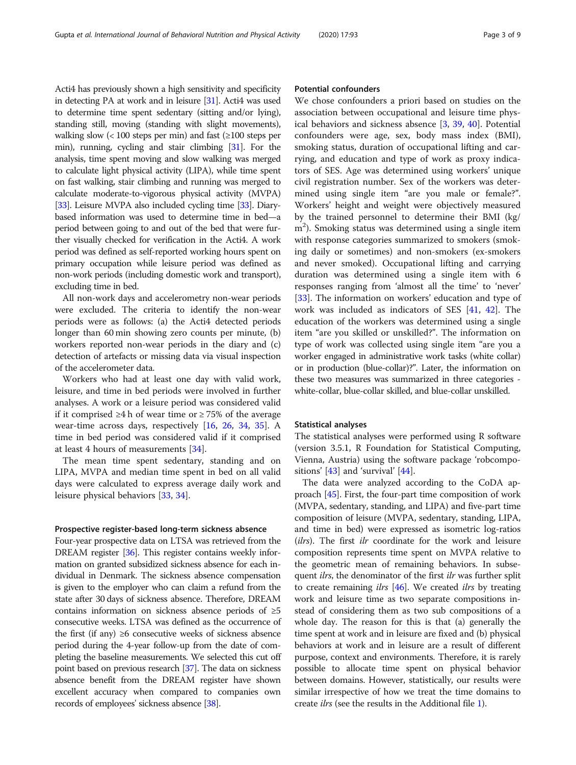Acti4 has previously shown a high sensitivity and specificity in detecting PA at work and in leisure [[31\]](#page-7-0). Acti4 was used to determine time spent sedentary (sitting and/or lying), standing still, moving (standing with slight movements), walking slow (< 100 steps per min) and fast (≥100 steps per min), running, cycling and stair climbing [\[31\]](#page-7-0). For the analysis, time spent moving and slow walking was merged to calculate light physical activity (LIPA), while time spent on fast walking, stair climbing and running was merged to calculate moderate-to-vigorous physical activity (MVPA) [[33](#page-7-0)]. Leisure MVPA also included cycling time [\[33\]](#page-7-0). Diarybased information was used to determine time in bed—a period between going to and out of the bed that were further visually checked for verification in the Acti4. A work period was defined as self-reported working hours spent on primary occupation while leisure period was defined as non-work periods (including domestic work and transport), excluding time in bed.

All non-work days and accelerometry non-wear periods were excluded. The criteria to identify the non-wear periods were as follows: (a) the Acti4 detected periods longer than 60 min showing zero counts per minute, (b) workers reported non-wear periods in the diary and (c) detection of artefacts or missing data via visual inspection of the accelerometer data.

Workers who had at least one day with valid work, leisure, and time in bed periods were involved in further analyses. A work or a leisure period was considered valid if it comprised ≥4 h of wear time or ≥ 75% of the average wear-time across days, respectively [\[16,](#page-7-0) [26,](#page-7-0) [34,](#page-7-0) [35](#page-7-0)]. A time in bed period was considered valid if it comprised at least 4 hours of measurements [[34](#page-7-0)].

The mean time spent sedentary, standing and on LIPA, MVPA and median time spent in bed on all valid days were calculated to express average daily work and leisure physical behaviors [[33,](#page-7-0) [34\]](#page-7-0).

#### Prospective register-based long-term sickness absence

Four-year prospective data on LTSA was retrieved from the DREAM register [[36](#page-7-0)]. This register contains weekly information on granted subsidized sickness absence for each individual in Denmark. The sickness absence compensation is given to the employer who can claim a refund from the state after 30 days of sickness absence. Therefore, DREAM contains information on sickness absence periods of ≥5 consecutive weeks. LTSA was defined as the occurrence of the first (if any)  $\geq 6$  consecutive weeks of sickness absence period during the 4-year follow-up from the date of completing the baseline measurements. We selected this cut off point based on previous research [\[37\]](#page-7-0). The data on sickness absence benefit from the DREAM register have shown excellent accuracy when compared to companies own records of employees' sickness absence [\[38](#page-7-0)].

# Potential confounders

We chose confounders a priori based on studies on the association between occupational and leisure time physical behaviors and sickness absence [[3,](#page-7-0) [39](#page-8-0), [40\]](#page-8-0). Potential confounders were age, sex, body mass index (BMI), smoking status, duration of occupational lifting and carrying, and education and type of work as proxy indicators of SES. Age was determined using workers' unique civil registration number. Sex of the workers was determined using single item "are you male or female?". Workers' height and weight were objectively measured by the trained personnel to determine their BMI (kg/ m<sup>2</sup>). Smoking status was determined using a single item with response categories summarized to smokers (smoking daily or sometimes) and non-smokers (ex-smokers and never smoked). Occupational lifting and carrying duration was determined using a single item with 6 responses ranging from 'almost all the time' to 'never' [[33\]](#page-7-0). The information on workers' education and type of work was included as indicators of SES [\[41](#page-8-0), [42](#page-8-0)]. The education of the workers was determined using a single item "are you skilled or unskilled?". The information on type of work was collected using single item "are you a worker engaged in administrative work tasks (white collar) or in production (blue-collar)?". Later, the information on these two measures was summarized in three categories white-collar, blue-collar skilled, and blue-collar unskilled.

#### Statistical analyses

The statistical analyses were performed using R software (version 3.5.1, R Foundation for Statistical Computing, Vienna, Austria) using the software package 'robcompositions' [\[43](#page-8-0)] and 'survival' [\[44](#page-8-0)].

The data were analyzed according to the CoDA approach [\[45](#page-8-0)]. First, the four-part time composition of work (MVPA, sedentary, standing, and LIPA) and five-part time composition of leisure (MVPA, sedentary, standing, LIPA, and time in bed) were expressed as isometric log-ratios (ilrs). The first ilr coordinate for the work and leisure composition represents time spent on MVPA relative to the geometric mean of remaining behaviors. In subsequent *ilrs*, the denominator of the first *ilr* was further split to create remaining *ilrs*  $[46]$  $[46]$ . We created *ilrs* by treating work and leisure time as two separate compositions instead of considering them as two sub compositions of a whole day. The reason for this is that (a) generally the time spent at work and in leisure are fixed and (b) physical behaviors at work and in leisure are a result of different purpose, context and environments. Therefore, it is rarely possible to allocate time spent on physical behavior between domains. However, statistically, our results were similar irrespective of how we treat the time domains to create ilrs (see the results in the Additional file [1](#page-6-0)).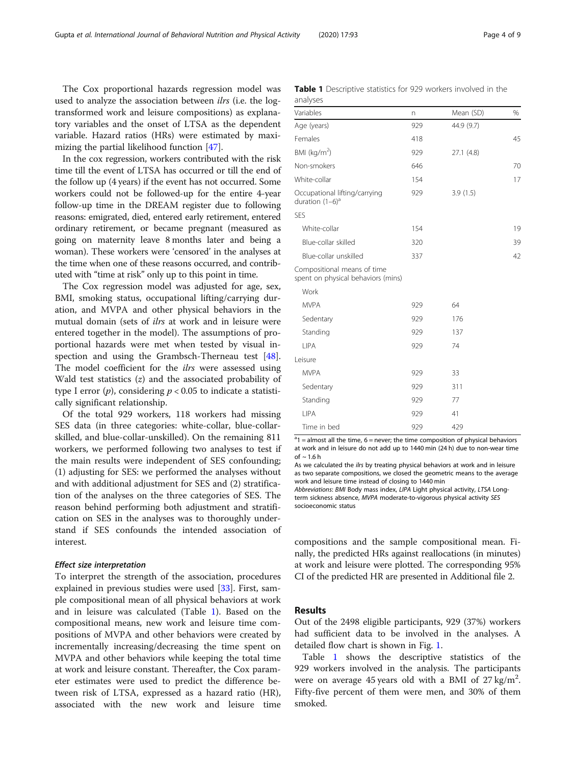The Cox proportional hazards regression model was used to analyze the association between *ilrs* (i.e. the logtransformed work and leisure compositions) as explanatory variables and the onset of LTSA as the dependent variable. Hazard ratios (HRs) were estimated by maximizing the partial likelihood function [[47\]](#page-8-0).

In the cox regression, workers contributed with the risk time till the event of LTSA has occurred or till the end of the follow up (4 years) if the event has not occurred. Some workers could not be followed-up for the entire 4-year follow-up time in the DREAM register due to following reasons: emigrated, died, entered early retirement, entered ordinary retirement, or became pregnant (measured as going on maternity leave 8 months later and being a woman). These workers were 'censored' in the analyses at the time when one of these reasons occurred, and contributed with "time at risk" only up to this point in time.

The Cox regression model was adjusted for age, sex, BMI, smoking status, occupational lifting/carrying duration, and MVPA and other physical behaviors in the mutual domain (sets of ilrs at work and in leisure were entered together in the model). The assumptions of proportional hazards were met when tested by visual inspection and using the Grambsch-Therneau test  $[48]$  $[48]$ . The model coefficient for the *ilrs* were assessed using Wald test statistics  $(z)$  and the associated probability of type I error  $(p)$ , considering  $p < 0.05$  to indicate a statistically significant relationship.

Of the total 929 workers, 118 workers had missing SES data (in three categories: white-collar, blue-collarskilled, and blue-collar-unskilled). On the remaining 811 workers, we performed following two analyses to test if the main results were independent of SES confounding; (1) adjusting for SES: we performed the analyses without and with additional adjustment for SES and (2) stratification of the analyses on the three categories of SES. The reason behind performing both adjustment and stratification on SES in the analyses was to thoroughly understand if SES confounds the intended association of interest.

#### Effect size interpretation

To interpret the strength of the association, procedures explained in previous studies were used [\[33\]](#page-7-0). First, sample compositional mean of all physical behaviors at work and in leisure was calculated (Table 1). Based on the compositional means, new work and leisure time compositions of MVPA and other behaviors were created by incrementally increasing/decreasing the time spent on MVPA and other behaviors while keeping the total time at work and leisure constant. Thereafter, the Cox parameter estimates were used to predict the difference between risk of LTSA, expressed as a hazard ratio (HR), associated with the new work and leisure time

|          | Table 1 Descriptive statistics for 929 workers involved in the |  |  |  |  |
|----------|----------------------------------------------------------------|--|--|--|--|
| analyses |                                                                |  |  |  |  |

| Variables                                                         | n   | Mean (SD)  | %  |
|-------------------------------------------------------------------|-----|------------|----|
| Age (years)                                                       | 929 | 44.9 (9.7) |    |
| Females                                                           | 418 |            | 45 |
| BMI ( $kg/m2$ )                                                   | 929 | 27.1 (4.8) |    |
| Non-smokers                                                       | 646 |            | 70 |
| White-collar                                                      | 154 |            | 17 |
| Occupational lifting/carrying<br>duration $(1-6)^a$               | 929 | 3.9(1.5)   |    |
| <b>SES</b>                                                        |     |            |    |
| White-collar                                                      | 154 |            | 19 |
| Blue-collar skilled                                               | 320 |            | 39 |
| Blue-collar unskilled                                             | 337 |            | 42 |
| Compositional means of time<br>spent on physical behaviors (mins) |     |            |    |
| Work                                                              |     |            |    |
| <b>MVPA</b>                                                       | 929 | 64         |    |
| Sedentary                                                         | 929 | 176        |    |
| Standing                                                          | 929 | 137        |    |
| <b>LIPA</b>                                                       | 929 | 74         |    |
| Leisure                                                           |     |            |    |
| <b>MVPA</b>                                                       | 929 | 33         |    |
| Sedentary                                                         | 929 | 311        |    |
| Standing                                                          | 929 | 77         |    |
| <b>LIPA</b>                                                       | 929 | 41         |    |
| Time in bed                                                       | 929 | 429        |    |

 $a_1$  = almost all the time, 6 = never; the time composition of physical behaviors at work and in leisure do not add up to 1440 min (24 h) due to non-wear time of  $\sim$  1.6 h

As we calculated the ilrs by treating physical behaviors at work and in leisure as two separate compositions, we closed the geometric means to the average work and leisure time instead of closing to 1440 min

Abbreviations: BMI Body mass index, LIPA Light physical activity, LTSA Longterm sickness absence, MVPA moderate-to-vigorous physical activity SES socioeconomic status

compositions and the sample compositional mean. Finally, the predicted HRs against reallocations (in minutes) at work and leisure were plotted. The corresponding 95% CI of the predicted HR are presented in Additional file 2.

# Results

Out of the 2498 eligible participants, 929 (37%) workers had sufficient data to be involved in the analyses. A detailed flow chart is shown in Fig. [1.](#page-4-0)

Table 1 shows the descriptive statistics of the 929 workers involved in the analysis. The participants were on average 45 years old with a BMI of  $27 \text{ kg/m}^2$ . Fifty-five percent of them were men, and 30% of them smoked.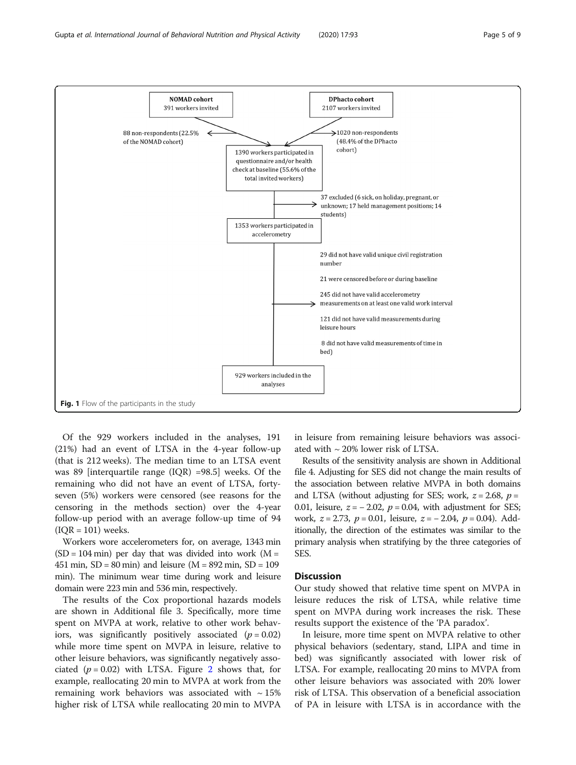<span id="page-4-0"></span>

Of the 929 workers included in the analyses, 191 (21%) had an event of LTSA in the 4-year follow-up (that is 212 weeks). The median time to an LTSA event was 89 [interquartile range (IQR) =98.5] weeks. Of the remaining who did not have an event of LTSA, fortyseven (5%) workers were censored (see reasons for the censoring in the methods section) over the 4-year follow-up period with an average follow-up time of 94  $(IOR = 101)$  weeks.

Workers wore accelerometers for, on average, 1343 min  $(SD = 104 \text{ min})$  per day that was divided into work  $(M = 104 \text{ min})$ 451 min,  $SD = 80$  min) and leisure ( $M = 892$  min,  $SD = 109$ min). The minimum wear time during work and leisure domain were 223 min and 536 min, respectively.

The results of the Cox proportional hazards models are shown in Additional file 3. Specifically, more time spent on MVPA at work, relative to other work behaviors, was significantly positively associated  $(p = 0.02)$ while more time spent on MVPA in leisure, relative to other leisure behaviors, was significantly negatively associated ( $p = 0.02$  $p = 0.02$ ) with LTSA. Figure 2 shows that, for example, reallocating 20 min to MVPA at work from the remaining work behaviors was associated with  $\sim$  15% higher risk of LTSA while reallocating 20 min to MVPA in leisure from remaining leisure behaviors was associated with  $\sim$  20% lower risk of LTSA.

Results of the sensitivity analysis are shown in Additional file 4. Adjusting for SES did not change the main results of the association between relative MVPA in both domains and LTSA (without adjusting for SES; work,  $z = 2.68$ ,  $p =$ 0.01, leisure,  $z = -2.02$ ,  $p = 0.04$ , with adjustment for SES; work,  $z = 2.73$ ,  $p = 0.01$ , leisure,  $z = -2.04$ ,  $p = 0.04$ ). Additionally, the direction of the estimates was similar to the primary analysis when stratifying by the three categories of SES.

# **Discussion**

Our study showed that relative time spent on MVPA in leisure reduces the risk of LTSA, while relative time spent on MVPA during work increases the risk. These results support the existence of the 'PA paradox'.

In leisure, more time spent on MVPA relative to other physical behaviors (sedentary, stand, LIPA and time in bed) was significantly associated with lower risk of LTSA. For example, reallocating 20 mins to MVPA from other leisure behaviors was associated with 20% lower risk of LTSA. This observation of a beneficial association of PA in leisure with LTSA is in accordance with the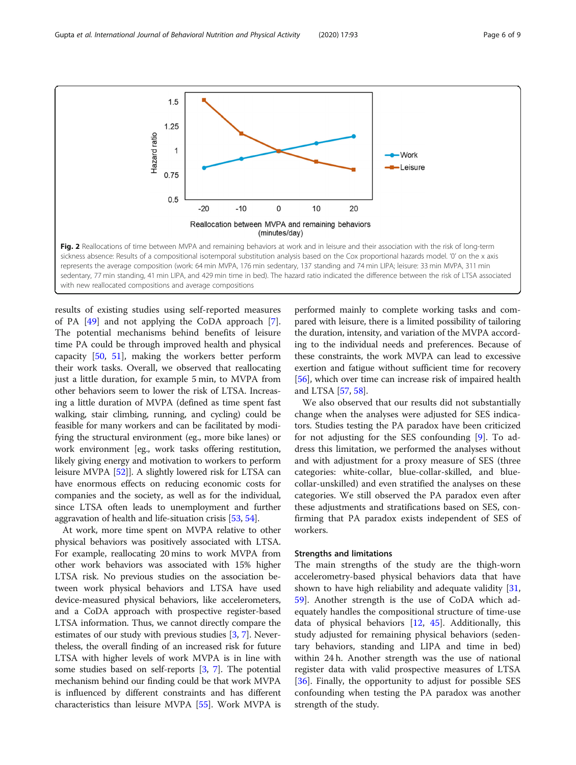<span id="page-5-0"></span>Gupta et al. International Journal of Behavioral Nutrition and Physical Activity (2020) 17:93 Page 6 of 9



results of existing studies using self-reported measures of PA [\[49\]](#page-8-0) and not applying the CoDA approach [\[7](#page-7-0)]. The potential mechanisms behind benefits of leisure time PA could be through improved health and physical capacity [\[50](#page-8-0), [51](#page-8-0)], making the workers better perform their work tasks. Overall, we observed that reallocating just a little duration, for example 5 min, to MVPA from other behaviors seem to lower the risk of LTSA. Increasing a little duration of MVPA (defined as time spent fast walking, stair climbing, running, and cycling) could be feasible for many workers and can be facilitated by modifying the structural environment (eg., more bike lanes) or work environment [eg., work tasks offering restitution, likely giving energy and motivation to workers to perform leisure MVPA [\[52\]](#page-8-0)]. A slightly lowered risk for LTSA can have enormous effects on reducing economic costs for companies and the society, as well as for the individual, since LTSA often leads to unemployment and further aggravation of health and life-situation crisis [\[53,](#page-8-0) [54](#page-8-0)].

At work, more time spent on MVPA relative to other physical behaviors was positively associated with LTSA. For example, reallocating 20 mins to work MVPA from other work behaviors was associated with 15% higher LTSA risk. No previous studies on the association between work physical behaviors and LTSA have used device-measured physical behaviors, like accelerometers, and a CoDA approach with prospective register-based LTSA information. Thus, we cannot directly compare the estimates of our study with previous studies [\[3,](#page-7-0) [7\]](#page-7-0). Nevertheless, the overall finding of an increased risk for future LTSA with higher levels of work MVPA is in line with some studies based on self-reports [\[3,](#page-7-0) [7](#page-7-0)]. The potential mechanism behind our finding could be that work MVPA is influenced by different constraints and has different characteristics than leisure MVPA [[55](#page-8-0)]. Work MVPA is

performed mainly to complete working tasks and compared with leisure, there is a limited possibility of tailoring the duration, intensity, and variation of the MVPA according to the individual needs and preferences. Because of these constraints, the work MVPA can lead to excessive exertion and fatigue without sufficient time for recovery [[56](#page-8-0)], which over time can increase risk of impaired health and LTSA [[57](#page-8-0), [58](#page-8-0)].

We also observed that our results did not substantially change when the analyses were adjusted for SES indicators. Studies testing the PA paradox have been criticized for not adjusting for the SES confounding [\[9](#page-7-0)]. To address this limitation, we performed the analyses without and with adjustment for a proxy measure of SES (three categories: white-collar, blue-collar-skilled, and bluecollar-unskilled) and even stratified the analyses on these categories. We still observed the PA paradox even after these adjustments and stratifications based on SES, confirming that PA paradox exists independent of SES of workers.

# Strengths and limitations

The main strengths of the study are the thigh-worn accelerometry-based physical behaviors data that have shown to have high reliability and adequate validity  $[31, 1]$  $[31, 1]$  $[31, 1]$ [59\]](#page-8-0). Another strength is the use of CoDA which adequately handles the compositional structure of time-use data of physical behaviors [\[12](#page-7-0), [45\]](#page-8-0). Additionally, this study adjusted for remaining physical behaviors (sedentary behaviors, standing and LIPA and time in bed) within 24 h. Another strength was the use of national register data with valid prospective measures of LTSA [[36\]](#page-7-0). Finally, the opportunity to adjust for possible SES confounding when testing the PA paradox was another strength of the study.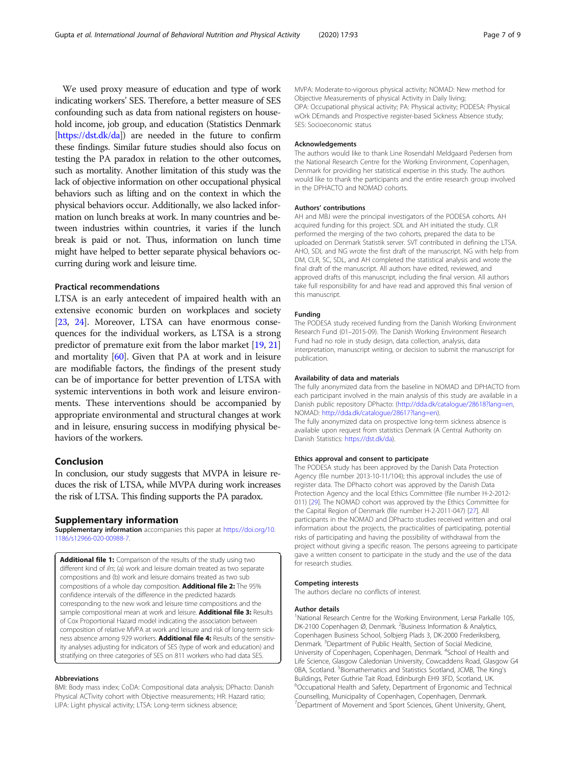<span id="page-6-0"></span>We used proxy measure of education and type of work indicating workers' SES. Therefore, a better measure of SES confounding such as data from national registers on household income, job group, and education (Statistics Denmark [<https://dst.dk/da>]) are needed in the future to confirm these findings. Similar future studies should also focus on testing the PA paradox in relation to the other outcomes, such as mortality. Another limitation of this study was the lack of objective information on other occupational physical behaviors such as lifting and on the context in which the physical behaviors occur. Additionally, we also lacked information on lunch breaks at work. In many countries and between industries within countries, it varies if the lunch break is paid or not. Thus, information on lunch time might have helped to better separate physical behaviors occurring during work and leisure time.

#### Practical recommendations

LTSA is an early antecedent of impaired health with an extensive economic burden on workplaces and society [[23](#page-7-0), [24\]](#page-7-0). Moreover, LTSA can have enormous consequences for the individual workers, as LTSA is a strong predictor of premature exit from the labor market [\[19,](#page-7-0) [21](#page-7-0)] and mortality [\[60\]](#page-8-0). Given that PA at work and in leisure are modifiable factors, the findings of the present study can be of importance for better prevention of LTSA with systemic interventions in both work and leisure environments. These interventions should be accompanied by appropriate environmental and structural changes at work and in leisure, ensuring success in modifying physical behaviors of the workers.

# Conclusion

In conclusion, our study suggests that MVPA in leisure reduces the risk of LTSA, while MVPA during work increases the risk of LTSA. This finding supports the PA paradox.

#### Supplementary information

Supplementary information accompanies this paper at [https://doi.org/10.](https://doi.org/10.1186/s12966-020-00988-7) [1186/s12966-020-00988-7](https://doi.org/10.1186/s12966-020-00988-7).

Additional file 1: Comparison of the results of the study using two different kind of ilrs; (a) work and leisure domain treated as two separate compositions and (b) work and leisure domains treated as two sub compositions of a whole day composition. Additional file 2: The 95% confidence intervals of the difference in the predicted hazards corresponding to the new work and leisure time compositions and the sample compositional mean at work and leisure. **Additional file 3:** Results of Cox Proportional Hazard model indicating the association between composition of relative MVPA at work and leisure and risk of long-term sickness absence among 929 workers. **Additional file 4:** Results of the sensitivity analyses adjusting for indicators of SES (type of work and education) and stratifying on three categories of SES on 811 workers who had data SES.

#### Abbreviations

BMI: Body mass index; CoDA: Compositional data analysis; DPhacto: Danish Physical ACTivity cohort with Objective measurements; HR: Hazard ratio; LIPA: Light physical activity; LTSA: Long-term sickness absence;

MVPA: Moderate-to-vigorous physical activity; NOMAD: New method for Objective Measurements of physical Activity in Daily living; OPA: Occupational physical activity; PA: Physical activity; PODESA: Physical wOrk DEmands and Prospective register-based Sickness Absence study; SES: Socioeconomic status

#### Acknowledgements

The authors would like to thank Line Rosendahl Meldgaard Pedersen from the National Research Centre for the Working Environment, Copenhagen, Denmark for providing her statistical expertise in this study. The authors would like to thank the participants and the entire research group involved in the DPHACTO and NOMAD cohorts.

#### Authors' contributions

AH and MBJ were the principal investigators of the PODESA cohorts. AH acquired funding for this project. SDL and AH initiated the study. CLR performed the merging of the two cohorts, prepared the data to be uploaded on Denmark Statistik server. SVT contributed in defining the LTSA. AHO, SDL and NG wrote the first draft of the manuscript. NG with help from DM, CLR, SC, SDL, and AH completed the statistical analysis and wrote the final draft of the manuscript. All authors have edited, reviewed, and approved drafts of this manuscript, including the final version. All authors take full responsibility for and have read and approved this final version of this manuscript.

#### Funding

The PODESA study received funding from the Danish Working Environment Research Fund (01–2015-09). The Danish Working Environment Research Fund had no role in study design, data collection, analysis, data interpretation, manuscript writing, or decision to submit the manuscript for publication.

# Availability of data and materials

The fully anonymized data from the baseline in NOMAD and DPHACTO from each participant involved in the main analysis of this study are available in a Danish public repository DPhacto: [\(http://dda.dk/catalogue/28618?lang=en,](http://dda.dk/catalogue/28618?lang=en) NOMAD: <http://dda.dk/catalogue/28617?lang=en>).

The fully anonymized data on prospective long-term sickness absence is available upon request from statistics Denmark (A Central Authority on Danish Statistics: [https://dst.dk/da\)](https://dst.dk/da).

#### Ethics approval and consent to participate

The PODESA study has been approved by the Danish Data Protection Agency (file number 2013-10-11/104); this approval includes the use of register data. The DPhacto cohort was approved by the Danish Data Protection Agency and the local Ethics Committee (file number H-2-2012- 011) [[29\]](#page-7-0). The NOMAD cohort was approved by the Ethics Committee for the Capital Region of Denmark (file number H-2-2011-047) [[27\]](#page-7-0). All participants in the NOMAD and DPhacto studies received written and oral information about the projects, the practicalities of participating, potential risks of participating and having the possibility of withdrawal from the project without giving a specific reason. The persons agreeing to participate gave a written consent to participate in the study and the use of the data for research studies.

#### Competing interests

The authors declare no conflicts of interest.

#### Author details

<sup>1</sup>National Research Centre for the Working Environment, Lersø Parkalle 105 DK-2100 Copenhagen Ø, Denmark. <sup>2</sup>Business Information & Analytics Copenhagen Business School, Solbjerg Plads 3, DK-2000 Frederiksberg, Denmark.<sup>3</sup> Department of Public Health, Section of Social Medicine University of Copenhagen, Copenhagen, Denmark. <sup>4</sup>School of Health and Life Science, Glasgow Caledonian University, Cowcaddens Road, Glasgow G4 0BA, Scotland. <sup>5</sup>Biomathematics and Statistics Scotland, JCMB, The King's Buildings, Peter Guthrie Tait Road, Edinburgh EH9 3FD, Scotland, UK. 6 Occupational Health and Safety, Department of Ergonomic and Technical Counselling, Municipality of Copenhagen, Copenhagen, Denmark. 7 Department of Movement and Sport Sciences, Ghent University, Ghent,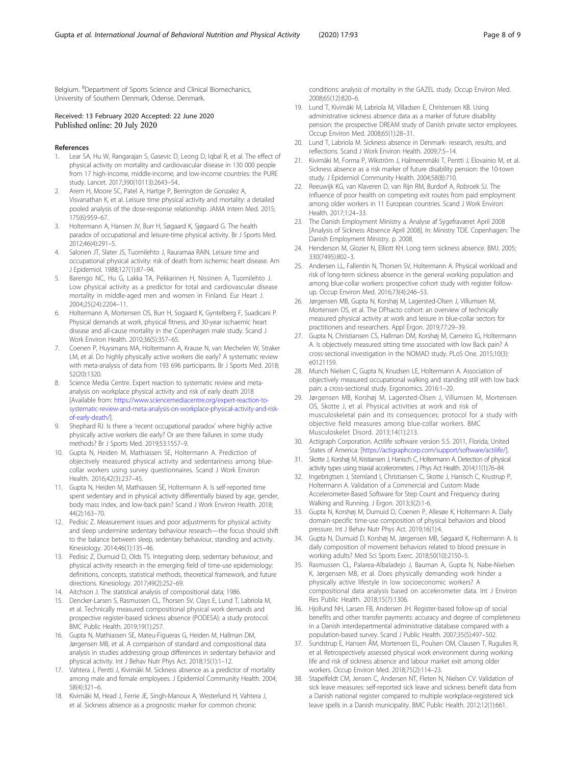<span id="page-7-0"></span>Belgium. <sup>8</sup>Department of Sports Science and Clinical Biomechanics, University of Southern Denmark, Odense, Denmark.

#### Received: 13 February 2020 Accepted: 22 June 2020 Published online: 20 July 2020

#### References

- 1. Lear SA, Hu W, Rangarajan S, Gasevic D, Leong D, Iqbal R, et al. The effect of physical activity on mortality and cardiovascular disease in 130 000 people from 17 high-income, middle-income, and low-income countries: the PURE study. Lancet. 2017;390(10113):2643–54..
- Arem H, Moore SC, Patel A, Hartge P, Berrington de Gonzalez A, Visvanathan K, et al. Leisure time physical activity and mortality: a detailed pooled analysis of the dose-response relationship. JAMA Intern Med. 2015; 175(6):959–67.
- 3. Holtermann A, Hansen JV, Burr H, Søgaard K, Sjøgaard G. The health paradox of occupational and leisure-time physical activity. Br J Sports Med. 2012;46(4):291–5.
- Salonen JT, Slater JS, Tuomilehto J, Rauramaa RAIN. Leisure time and occupational physical activity: risk of death from ischemic heart disease. Am J Epidemiol. 1988;127(1):87–94.
- 5. Barengo NC, Hu G, Lakka TA, Pekkarinen H, Nissinen A, Tuomilehto J. Low physical activity as a predictor for total and cardiovascular disease mortality in middle-aged men and women in Finland. Eur Heart J. 2004;25(24):2204–11.
- 6. Holtermann A, Mortensen OS, Burr H, Sogaard K, Gyntelberg F, Suadicani P. Physical demands at work, physical fitness, and 30-year ischaemic heart disease and all-cause mortality in the Copenhagen male study. Scand J Work Environ Health. 2010;36(5):357–65.
- 7. Coenen P, Huysmans MA, Holtermann A, Krause N, van Mechelen W, Straker LM, et al. Do highly physically active workers die early? A systematic review with meta-analysis of data from 193 696 participants. Br J Sports Med. 2018; 52(20):1320.
- Science Media Centre. Expert reaction to systematic review and metaanalysis on workplace physical activity and risk of early death 2018 [Available from: [https://www.sciencemediacentre.org/expert-reaction-to](https://www.sciencemediacentre.org/expert-reaction-to-systematic-review-and-meta-analysis-on-workplace-physical-activity-and-risk-of-early-death/)[systematic-review-and-meta-analysis-on-workplace-physical-activity-and-risk](https://www.sciencemediacentre.org/expert-reaction-to-systematic-review-and-meta-analysis-on-workplace-physical-activity-and-risk-of-early-death/)[of-early-death/\]](https://www.sciencemediacentre.org/expert-reaction-to-systematic-review-and-meta-analysis-on-workplace-physical-activity-and-risk-of-early-death/).
- Shephard RJ. Is there a 'recent occupational paradox' where highly active physically active workers die early? Or are there failures in some study methods? Br J Sports Med. 2019;53:1557–9.
- 10. Gupta N, Heiden M, Mathiassen SE, Holtermann A. Prediction of objectively measured physical activity and sedentariness among bluecollar workers using survey questionnaires. Scand J Work Environ Health. 2016;42(3):237–45.
- 11. Gupta N, Heiden M, Mathiassen SE, Holtermann A. Is self-reported time spent sedentary and in physical activity differentially biased by age, gender, body mass index, and low-back pain? Scand J Work Environ Health. 2018; 44(2):163–70.
- 12. Pedisic Z. Measurement issues and poor adjustments for physical activity and sleep undermine sedentary behaviour research—the focus should shift to the balance between sleep, sedentary behaviour, standing and activity. Kinesiology. 2014;46(1):135–46.
- 13. Pedisic Z, Dumuid D, Olds TS. Integrating sleep, sedentary behaviour, and physical activity research in the emerging field of time-use epidemiology: definitions, concepts, statistical methods, theoretical framework, and future directions. Kinesiology. 2017;49(2):252–69.
- 14. Aitchson J. The statistical analysis of compositional data; 1986.
- 15. Dencker-Larsen S, Rasmussen CL, Thorsen SV, Clays E, Lund T, Labriola M, et al. Technically measured compositional physical work demands and prospective register-based sickness absence (PODESA): a study protocol. BMC Public Health. 2019;19(1):257.
- 16. Gupta N, Mathiassen SE, Mateu-Figueras G, Heiden M, Hallman DM, Jørgensen MB, et al. A comparison of standard and compositional data analysis in studies addressing group differences in sedentary behavior and physical activity. Int J Behav Nutr Phys Act. 2018;15(1):1–12.
- 17. Vahtera J, Pentti J, Kivimäki M. Sickness absence as a predictor of mortality among male and female employees. J Epidemiol Community Health. 2004; 58(4):321–6.
- 18. Kivimäki M, Head J, Ferrie JE, Singh-Manoux A, Westerlund H, Vahtera J, et al. Sickness absence as a prognostic marker for common chronic

conditions: analysis of mortality in the GAZEL study. Occup Environ Med. 2008;65(12):820–6.

- 19. Lund T, Kivimäki M, Labriola M, Villadsen E, Christensen KB. Using administrative sickness absence data as a marker of future disability pension: the prospective DREAM study of Danish private sector employees. Occup Environ Med. 2008;65(1):28–31.
- 20. Lund T, Labriola M. Sickness absence in Denmark- research, results, and reflections. Scand J Work Environ Health. 2009;7:5–14.
- 21. Kivimäki M, Forma P, Wikström J, Halmeenmäki T, Pentti J, Elovainio M, et al. Sickness absence as a risk marker of future disability pension: the 10-town study. J Epidemiol Community Health. 2004;58(8):710.
- 22. Reeuwijk KG, van Klaveren D, van Rijn RM, Burdorf A, Robroek SJ. The influence of poor health on competing exit routes from paid employment among older workers in 11 European countries. Scand J Work Environ Health. 2017;1:24–33.
- 23. The Danish Employment Ministry a. Analyse af Sygefraværet April 2008 [Analysis of Sickness Absence April 2008]. In: Ministry TDE. Copenhagen: The Danish Employment Ministry. p. 2008.
- 24. Henderson M, Glozier N, Elliott KH. Long term sickness absence. BMJ. 2005; 330(7495):802–3.
- 25. Andersen LL, Fallentin N, Thorsen SV, Holtermann A. Physical workload and risk of long-term sickness absence in the general working population and among blue-collar workers: prospective cohort study with register followup. Occup Environ Med. 2016;73(4):246–53.
- 26. Jørgensen MB, Gupta N, Korshøj M, Lagersted-Olsen J, Villumsen M, Mortensen OS, et al. The DPhacto cohort: an overview of technically measured physical activity at work and leisure in blue-collar sectors for practitioners and researchers. Appl Ergon. 2019;77:29–39.
- 27. Gupta N, Christiansen CS, Hallman DM, Korshøj M, Carneiro IG, Holtermann A. Is objectively measured sitting time associated with low Back pain? A cross-sectional investigation in the NOMAD study. PLoS One. 2015;10(3): e0121159.
- 28. Munch Nielsen C, Gupta N, Knudsen LE, Holtermann A. Association of objectively measured occupational walking and standing still with low back pain: a cross-sectional study. Ergonomics. 2016:1–20.
- 29. Jørgensen MB, Korshøj M, Lagersted-Olsen J, Villumsen M, Mortensen OS, Skotte J, et al. Physical activities at work and risk of musculoskeletal pain and its consequences: protocol for a study with objective field measures among blue-collar workers. BMC Musculoskelet Disord. 2013;14(1):213.
- 30. Actigraph Corporation. Actilife software version 5.5. 2011, Florida, United States of America: [<https://actigraphcorp.com/support/software/actilife/>].
- 31. Skotte J, Korshøj M, Kristiansen J, Hanisch C, Holtermann A. Detection of physical activity types using triaxial accelerometers. J Phys Act Health. 2014;11(1):76–84.
- 32. Ingebrigtsen J, Stemland I, Christiansen C, Skotte J, Hanisch C, Krustrup P, Holtermann A. Validation of a Commercial and Custom Made Accelerometer-Based Software for Step Count and Frequency during Walking and Running. J Ergon. 2013;3(2):1-6.
- 33. Gupta N, Korshøj M, Dumuid D, Coenen P, Allesøe K, Holtermann A. Daily domain-specific time-use composition of physical behaviors and blood pressure. Int J Behav Nutr Phys Act. 2019;16(1):4.
- 34. Gupta N, Dumuid D, Korshøj M, Jørgensen MB, Søgaard K, Holtermann A. Is daily composition of movement behaviors related to blood pressure in working adults? Med Sci Sports Exerc. 2018;50(10):2150–5.
- 35. Rasmussen CL, Palarea-Albaladejo J, Bauman A, Gupta N, Nabe-Nielsen K, Jørgensen MB, et al. Does physically demanding work hinder a physically active lifestyle in low socioeconomic workers? A compositional data analysis based on accelerometer data. Int J Environ Res Public Health. 2018;15(7):1306.
- 36. Hjollund NH, Larsen FB, Andersen JH. Register-based follow-up of social benefits and other transfer payments: accuracy and degree of completeness in a Danish interdepartmental administrative database compared with a population-based survey. Scand J Public Health. 2007;35(5):497–502.
- 37. Sundstrup E, Hansen ÅM, Mortensen EL, Poulsen OM, Clausen T, Rugulies R, et al. Retrospectively assessed physical work environment during working life and risk of sickness absence and labour market exit among older workers. Occup Environ Med. 2018;75(2):114–23.
- 38. Stapelfeldt CM, Jensen C, Andersen NT, Fleten N, Nielsen CV. Validation of sick leave measures: self-reported sick leave and sickness benefit data from a Danish national register compared to multiple workplace-registered sick leave spells in a Danish municipality. BMC Public Health. 2012;12(1):661.